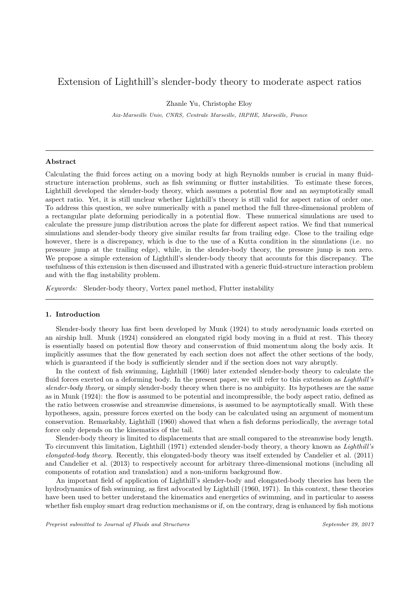# Extension of Lighthill's slender-body theory to moderate aspect ratios

Zhanle Yu, Christophe Eloy

Aix-Marseille Univ, CNRS, Centrale Marseille, IRPHE, Marseille, France

# Abstract

Calculating the fluid forces acting on a moving body at high Reynolds number is crucial in many fluidstructure interaction problems, such as fish swimming or flutter instabilities. To estimate these forces, Lighthill developed the slender-body theory, which assumes a potential flow and an asymptotically small aspect ratio. Yet, it is still unclear whether Lighthill's theory is still valid for aspect ratios of order one. To address this question, we solve numerically with a panel method the full three-dimensional problem of a rectangular plate deforming periodically in a potential flow. These numerical simulations are used to calculate the pressure jump distribution across the plate for different aspect ratios. We find that numerical simulations and slender-body theory give similar results far from trailing edge. Close to the trailing edge however, there is a discrepancy, which is due to the use of a Kutta condition in the simulations (i.e. no pressure jump at the trailing edge), while, in the slender-body theory, the pressure jump is non zero. We propose a simple extension of Lighthill's slender-body theory that accounts for this discrepancy. The usefulness of this extension is then discussed and illustrated with a generic fluid-structure interaction problem and with the flag instability problem.

Keywords: Slender-body theory, Vortex panel method, Flutter instability

# 1. Introduction

Slender-body theory has first been developed by Munk (1924) to study aerodynamic loads exerted on an airship hull. Munk (1924) considered an elongated rigid body moving in a fluid at rest. This theory is essentially based on potential flow theory and conservation of fluid momentum along the body axis. It implicitly assumes that the flow generated by each section does not affect the other sections of the body, which is guaranteed if the body is sufficiently slender and if the section does not vary abruptly.

In the context of fish swimming, Lighthill (1960) later extended slender-body theory to calculate the fluid forces exerted on a deforming body. In the present paper, we will refer to this extension as *Lighthill's* slender-body theory, or simply slender-body theory when there is no ambiguity. Its hypotheses are the same as in Munk (1924): the flow is assumed to be potential and incompressible, the body aspect ratio, defined as the ratio between crosswise and streamwise dimensions, is assumed to be asymptotically small. With these hypotheses, again, pressure forces exerted on the body can be calculated using an argument of momentum conservation. Remarkably, Lighthill (1960) showed that when a fish deforms periodically, the average total force only depends on the kinematics of the tail.

Slender-body theory is limited to displacements that are small compared to the streamwise body length. To circumvent this limitation, Lighthill (1971) extended slender-body theory, a theory known as Lighthill's elongated-body theory. Recently, this elongated-body theory was itself extended by Candelier et al. (2011) and Candelier et al. (2013) to respectively account for arbitrary three-dimensional motions (including all components of rotation and translation) and a non-uniform background flow.

An important field of application of Lighthill's slender-body and elongated-body theories has been the hydrodynamics of fish swimming, as first advocated by Lighthill (1960, 1971). In this context, these theories have been used to better understand the kinematics and energetics of swimming, and in particular to assess whether fish employ smart drag reduction mechanisms or if, on the contrary, drag is enhanced by fish motions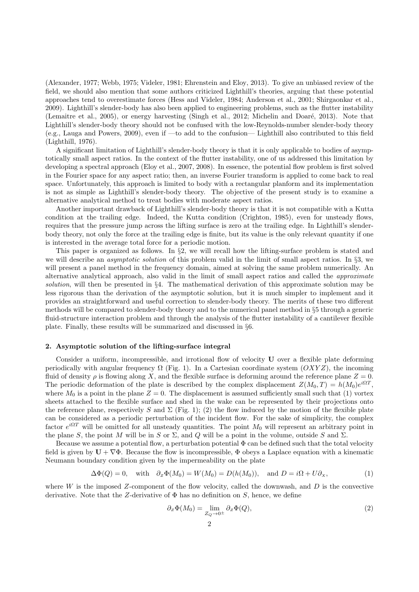(Alexander, 1977; Webb, 1975; Videler, 1981; Ehrenstein and Eloy, 2013). To give an unbiased review of the field, we should also mention that some authors criticized Lighthill's theories, arguing that these potential approaches tend to overestimate forces (Hess and Videler, 1984; Anderson et al., 2001; Shirgaonkar et al., 2009). Lighthill's slender-body has also been applied to engineering problems, such as the flutter instability (Lemaitre et al., 2005), or energy harvesting (Singh et al., 2012; Michelin and Doaré, 2013). Note that Lighthill's slender-body theory should not be confused with the low-Reynolds-number slender-body theory (e.g., Lauga and Powers, 2009), even if —to add to the confusion— Lighthill also contributed to this field (Lighthill, 1976).

A significant limitation of Lighthill's slender-body theory is that it is only applicable to bodies of asymptotically small aspect ratios. In the context of the flutter instability, one of us addressed this limitation by developing a spectral approach (Eloy et al., 2007, 2008). In essence, the potential flow problem is first solved in the Fourier space for any aspect ratio; then, an inverse Fourier transform is applied to come back to real space. Unfortunately, this approach is limited to body with a rectangular planform and its implementation is not as simple as Lighthill's slender-body theory. The objective of the present study is to examine a alternative analytical method to treat bodies with moderate aspect ratios.

Another important drawback of Lighthill's slender-body theory is that it is not compatible with a Kutta condition at the trailing edge. Indeed, the Kutta condition (Crighton, 1985), even for unsteady flows, requires that the pressure jump across the lifting surface is zero at the trailing edge. In Lighthill's slenderbody theory, not only the force at the trailing edge is finite, but its value is the only relevant quantity if one is interested in the average total force for a periodic motion.

This paper is organized as follows. In §2, we will recall how the lifting-surface problem is stated and we will describe an asymptotic solution of this problem valid in the limit of small aspect ratios. In §3, we will present a panel method in the frequency domain, aimed at solving the same problem numerically. An alternative analytical approach, also valid in the limit of small aspect ratios and called the approximate solution, will then be presented in §4. The mathematical derivation of this approximate solution may be less rigorous than the derivation of the asymptotic solution, but it is much simpler to implement and it provides an straightforward and useful correction to slender-body theory. The merits of these two different methods will be compared to slender-body theory and to the numerical panel method in §5 through a generic fluid-structure interaction problem and through the analysis of the flutter instability of a cantilever flexible plate. Finally, these results will be summarized and discussed in §6.

#### 2. Asymptotic solution of the lifting-surface integral

Consider a uniform, incompressible, and irrotional flow of velocity U over a flexible plate deforming periodically with angular frequency  $\Omega$  (Fig. 1). In a Cartesian coordinate system  $(OXYZ)$ , the incoming fluid of density  $\rho$  is flowing along X, and the flexible surface is deforming around the reference plane  $Z = 0$ . The periodic deformation of the plate is described by the complex displacement  $Z(M_0, T) = h(M_0)e^{i\Omega T}$ , where  $M_0$  is a point in the plane  $Z = 0$ . The displacement is assumed sufficiently small such that (1) vortex sheets attached to the flexible surface and shed in the wake can be represented by their projections onto the reference plane, respectively S and  $\Sigma$  (Fig. 1); (2) the flow induced by the motion of the flexible plate can be considered as a periodic perturbation of the incident flow. For the sake of simplicity, the complex factor  $e^{i\Omega T}$  will be omitted for all unsteady quantities. The point  $M_0$  will represent an arbitrary point in the plane S, the point M will be in S or  $\Sigma$ , and Q will be a point in the volume, outside S and  $\Sigma$ .

Because we assume a potential flow, a perturbation potential  $\Phi$  can be defined such that the total velocity field is given by  $U + \nabla \Phi$ . Because the flow is incompressible,  $\Phi$  obeys a Laplace equation with a kinematic Neumann boundary condition given by the impermeability on the plate

$$
\Delta\Phi(Q) = 0, \quad \text{with} \quad \partial_Z \Phi(M_0) = W(M_0) = D(h(M_0)), \quad \text{and } D = i\Omega + U\partial_X,\tag{1}
$$

where W is the imposed  $Z$ -component of the flow velocity, called the downwash, and  $D$  is the convective derivative. Note that the Z-derivative of  $\Phi$  has no definition on S, hence, we define

$$
\partial_z \Phi(M_0) = \lim_{Z_Q \to 0^{\pm}} \partial_z \Phi(Q), \tag{2}
$$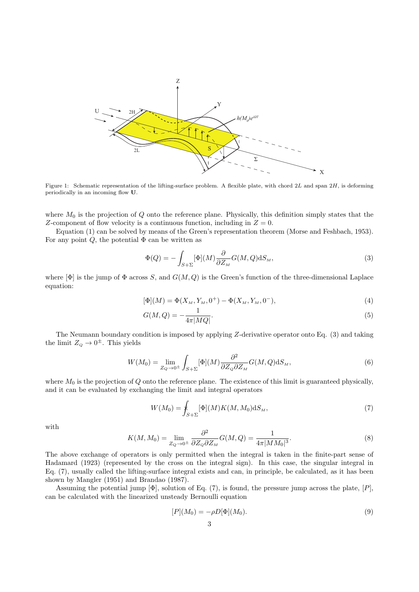

Figure 1: Schematic representation of the lifting-surface problem. A flexible plate, with chord  $2L$  and span  $2H$ , is deforming periodically in an incoming flow U.

where  $M_0$  is the projection of Q onto the reference plane. Physically, this definition simply states that the Z-component of flow velocity is a continuous function, including in  $Z = 0$ .

Equation (1) can be solved by means of the Green's representation theorem (Morse and Feshbach, 1953). For any point  $Q$ , the potential  $\Phi$  can be written as

$$
\Phi(Q) = -\int_{S+\Sigma} [\Phi](M) \frac{\partial}{\partial Z_M} G(M, Q) \mathrm{d}S_M,\tag{3}
$$

where  $[\Phi]$  is the jump of  $\Phi$  across S, and  $G(M, Q)$  is the Green's function of the three-dimensional Laplace equation:

$$
[\Phi](M) = \Phi(X_M, Y_M, 0^+) - \Phi(X_M, Y_M, 0^-), \tag{4}
$$

$$
G(M,Q) = -\frac{1}{4\pi|MQ|}.\tag{5}
$$

The Neumann boundary condition is imposed by applying Z-derivative operator onto Eq. (3) and taking the limit  $Z_Q \to 0^{\pm}$ . This yields

$$
W(M_0) = \lim_{Z_Q \to 0^{\pm}} \int_{S+\Sigma} [\Phi](M) \frac{\partial^2}{\partial Z_Q \partial Z_M} G(M, Q) \mathrm{d}S_M, \tag{6}
$$

where  $M_0$  is the projection of  $Q$  onto the reference plane. The existence of this limit is guaranteed physically, and it can be evaluated by exchanging the limit and integral operators

$$
W(M_0) = \oint_{S+\Sigma} [\Phi](M) K(M, M_0) \mathrm{d}S_M,\tag{7}
$$

with

$$
K(M, M_0) = \lim_{Z_Q \to 0^{\pm}} \frac{\partial^2}{\partial Z_Q \partial Z_M} G(M, Q) = \frac{1}{4\pi |M M_0|^3}.
$$
 (8)

The above exchange of operators is only permitted when the integral is taken in the finite-part sense of Hadamard (1923) (represented by the cross on the integral sign). In this case, the singular integral in Eq. (7), usually called the lifting-surface integral exists and can, in principle, be calculated, as it has been shown by Mangler (1951) and Brandao (1987).

Assuming the potential jump  $[\Phi]$ , solution of Eq. (7), is found, the pressure jump across the plate,  $[P]$ , can be calculated with the linearized unsteady Bernoulli equation

$$
[P](M_0) = -\rho D[\Phi](M_0).
$$
\n(9)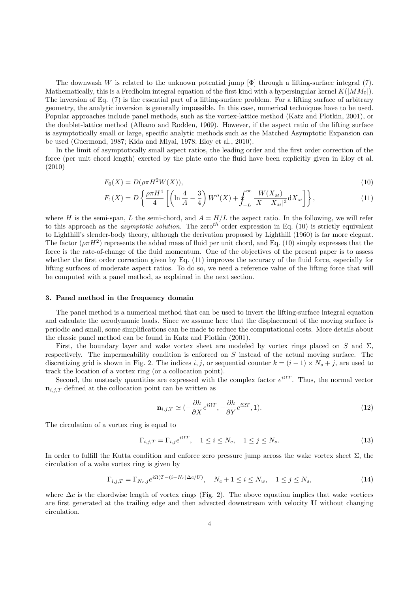The downwash W is related to the unknown potential jump  $[\Phi]$  through a lifting-surface integral (7). Mathematically, this is a Fredholm integral equation of the first kind with a hypersingular kernel  $K(|MM_0|)$ . The inversion of Eq. (7) is the essential part of a lifting-surface problem. For a lifting surface of arbitrary geometry, the analytic inversion is generally impossible. In this case, numerical techniques have to be used. Popular approaches include panel methods, such as the vortex-lattice method (Katz and Plotkin, 2001), or the doublet-lattice method (Albano and Rodden, 1969). However, if the aspect ratio of the lifting surface is asymptotically small or large, specific analytic methods such as the Matched Asymptotic Expansion can be used (Guermond, 1987; Kida and Miyai, 1978; Eloy et al., 2010).

In the limit of asymptotically small aspect ratios, the leading order and the first order correction of the force (per unit chord length) exerted by the plate onto the fluid have been explicitly given in Eloy et al. (2010)

$$
F_0(X) = D(\rho \pi H^2 W(X)),\tag{10}
$$

$$
F_1(X) = D\left\{\frac{\rho \pi H^4}{4} \left[ \left( \ln \frac{4}{A} - \frac{3}{4} \right) W''(X) + \oint_{-L}^{\infty} \frac{W(X_M)}{|X - X_M|^3} dX_M \right] \right\},
$$
(11)

where H is the semi-span, L the semi-chord, and  $A = H/L$  the aspect ratio. In the following, we will refer to this approach as the *asymptotic solution*. The zero<sup>th</sup> order expression in Eq. (10) is strictly equivalent to Lighthill's slender-body theory, although the derivation proposed by Lighthill (1960) is far more elegant. The factor  $(\rho \pi H^2)$  represents the added mass of fluid per unit chord, and Eq. (10) simply expresses that the force is the rate-of-change of the fluid momentum. One of the objectives of the present paper is to assess whether the first order correction given by Eq. (11) improves the accuracy of the fluid force, especially for lifting surfaces of moderate aspect ratios. To do so, we need a reference value of the lifting force that will be computed with a panel method, as explained in the next section.

#### 3. Panel method in the frequency domain

The panel method is a numerical method that can be used to invert the lifting-surface integral equation and calculate the aerodynamic loads. Since we assume here that the displacement of the moving surface is periodic and small, some simplifications can be made to reduce the computational costs. More details about the classic panel method can be found in Katz and Plotkin (2001).

First, the boundary layer and wake vortex sheet are modeled by vortex rings placed on S and  $\Sigma$ , respectively. The impermeability condition is enforced on S instead of the actual moving surface. The discretizing grid is shown in Fig. 2. The indices i, j, or sequential counter  $k = (i - 1) \times N_s + j$ , are used to track the location of a vortex ring (or a collocation point).

Second, the unsteady quantities are expressed with the complex factor  $e^{i\Omega T}$ . Thus, the normal vector  $n_{i,j,T}$  defined at the collocation point can be written as

$$
\mathbf{n}_{i,j,T} \simeq (-\frac{\partial h}{\partial X} e^{i\Omega T}, -\frac{\partial h}{\partial Y} e^{i\Omega T}, 1).
$$
 (12)

The circulation of a vortex ring is equal to

$$
\Gamma_{i,j,T} = \Gamma_{i,j} e^{i\Omega T}, \quad 1 \le i \le N_c, \quad 1 \le j \le N_s. \tag{13}
$$

In order to fulfill the Kutta condition and enforce zero pressure jump across the wake vortex sheet  $\Sigma$ , the circulation of a wake vortex ring is given by

$$
\Gamma_{i,j,T} = \Gamma_{N_c,j} e^{i\Omega(T - (i - N_c)\Delta c/U)}, \quad N_c + 1 \le i \le N_w, \quad 1 \le j \le N_s,
$$
\n(14)

where  $\Delta c$  is the chordwise length of vortex rings (Fig. 2). The above equation implies that wake vortices are first generated at the trailing edge and then advected downstream with velocity U without changing circulation.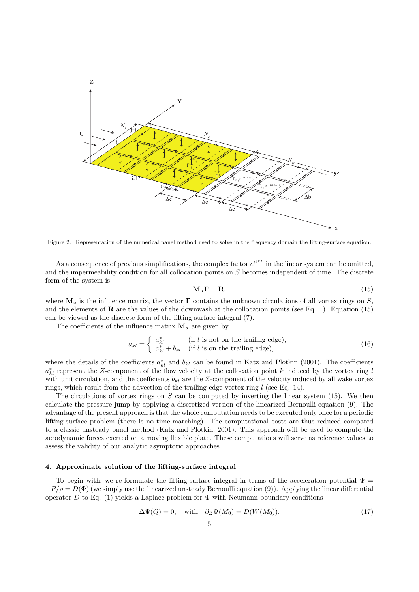

Figure 2: Representation of the numerical panel method used to solve in the frequency domain the lifting-surface equation.

As a consequence of previous simplifications, the complex factor  $e^{i\Omega T}$  in the linear system can be omitted, and the impermeability condition for all collocation points on S becomes independent of time. The discrete form of the system is

$$
\mathbf{M}_a \mathbf{\Gamma} = \mathbf{R},\tag{15}
$$

where  $\mathbf{M}_a$  is the influence matrix, the vector  $\boldsymbol{\Gamma}$  contains the unknown circulations of all vortex rings on S, and the elements of  $\bf{R}$  are the values of the downwash at the collocation points (see Eq. 1). Equation (15) can be viewed as the discrete form of the lifting-surface integral (7).

The coefficients of the influence matrix  $\mathbf{M}_a$  are given by

$$
a_{kl} = \begin{cases} a_{kl}^* & \text{(if } l \text{ is not on the trailing edge)},\\ a_{kl}^* + b_{kl} & \text{(if } l \text{ is on the trailing edge)}, \end{cases}
$$
(16)

where the details of the coefficients  $a_{kl}^*$  and  $b_{kl}$  can be found in Katz and Plotkin (2001). The coefficients  $a_{kl}^*$  represent the Z-component of the flow velocity at the collocation point k induced by the vortex ring l with unit circulation, and the coefficients  $b_{kl}$  are the Z-component of the velocity induced by all wake vortex rings, which result from the advection of the trailing edge vortex ring  $l$  (see Eq. 14).

The circulations of vortex rings on  $S$  can be computed by inverting the linear system (15). We then calculate the pressure jump by applying a discretized version of the linearized Bernoulli equation (9). The advantage of the present approach is that the whole computation needs to be executed only once for a periodic lifting-surface problem (there is no time-marching). The computational costs are thus reduced compared to a classic unsteady panel method (Katz and Plotkin, 2001). This approach will be used to compute the aerodynamic forces exerted on a moving flexible plate. These computations will serve as reference values to assess the validity of our analytic asymptotic approaches.

# 4. Approximate solution of the lifting-surface integral

To begin with, we re-formulate the lifting-surface integral in terms of the acceleration potential  $\Psi =$  $-P/\rho = D(\Phi)$  (we simply use the linearized unsteady Bernoulli equation (9)). Applying the linear differential operator D to Eq. (1) yields a Laplace problem for  $\Psi$  with Neumann boundary conditions

$$
\Delta\Psi(Q) = 0, \quad \text{with} \quad \partial_Z \Psi(M_0) = D(W(M_0)). \tag{17}
$$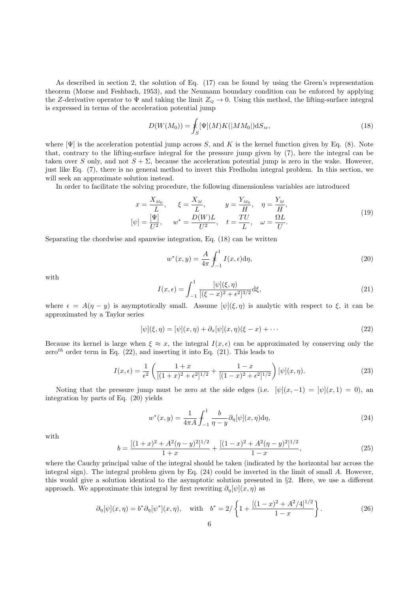As described in section 2, the solution of Eq. (17) can be found by using the Green's representation theorem (Morse and Feshbach, 1953), and the Neumann boundary condition can be enforced by applying the Z-derivative operator to  $\Psi$  and taking the limit  $Z_Q \to 0$ . Using this method, the lifting-surface integral is expressed in terms of the acceleration potential jump

$$
D(W(M_0)) = \oint_{S} [\Psi](M)K(|MM_0|) \mathrm{d}S_M, \tag{18}
$$

where  $[\Psi]$  is the acceleration potential jump across S, and K is the kernel function given by Eq. (8). Note that, contrary to the lifting-surface integral for the pressure jump given by (7), here the integral can be taken over S only, and not  $S + \Sigma$ , because the acceleration potential jump is zero in the wake. However, just like Eq. (7), there is no general method to invert this Fredholm integral problem. In this section, we will seek an approximate solution instead.

In order to facilitate the solving procedure, the following dimensionless variables are introduced

$$
x = \frac{X_{M_0}}{L}, \quad \xi = \frac{X_M}{L}, \quad y = \frac{Y_{M_0}}{H}, \quad \eta = \frac{Y_M}{H},
$$
  

$$
[\psi] = \frac{[\Psi]}{U^2}, \quad w^* = \frac{D(W)L}{U^2}, \quad t = \frac{TU}{L}, \quad \omega = \frac{\Omega L}{U}.
$$
 (19)

Separating the chordwise and spanwise integration, Eq. (18) can be written

$$
w^*(x, y) = \frac{A}{4\pi} \oint_{-1}^{1} I(x, \epsilon) d\eta,
$$
\n(20)

with

$$
I(x,\epsilon) = \int_{-1}^{1} \frac{[\psi](\xi,\eta)}{[(\xi-x)^2 + \epsilon^2]^{3/2}} d\xi,
$$
\n(21)

where  $\epsilon = A(\eta - y)$  is asymptotically small. Assume  $[\psi](\xi, \eta)$  is analytic with respect to  $\xi$ , it can be approximated by a Taylor series

$$
[\psi](\xi,\eta) = [\psi](x,\eta) + \partial_x[\psi](x,\eta)(\xi - x) + \cdots \tag{22}
$$

Because its kernel is large when  $\xi \approx x$ , the integral  $I(x, \epsilon)$  can be approximated by conserving only the zero<sup>th</sup> order term in Eq.  $(22)$ , and inserting it into Eq.  $(21)$ . This leads to

$$
I(x,\epsilon) = \frac{1}{\epsilon^2} \left( \frac{1+x}{[(1+x)^2 + \epsilon^2]^{1/2}} + \frac{1-x}{[(1-x)^2 + \epsilon^2]^{1/2}} \right) [\psi](x,\eta).
$$
 (23)

Noting that the pressure jump must be zero at the side edges (i.e.  $[\psi](x, -1) = [\psi](x, 1) = 0$ ), an integration by parts of Eq. (20) yields

$$
w^*(x,y) = \frac{1}{4\pi A} \int_{-1}^1 \frac{b}{\eta - y} \partial_\eta[\psi](x,\eta) d\eta,
$$
 (24)

with

$$
b = \frac{[(1+x)^2 + A^2(\eta - y)^2]^{1/2}}{1+x} + \frac{[(1-x)^2 + A^2(\eta - y)^2]^{1/2}}{1-x},
$$
\n(25)

where the Cauchy principal value of the integral should be taken (indicated by the horizontal bar across the integral sign). The integral problem given by Eq. (24) could be inverted in the limit of small A. However, this would give a solution identical to the asymptotic solution presented in §2. Here, we use a different approach. We approximate this integral by first rewriting  $\partial_n[\psi](x,\eta)$  as

$$
\partial_{\eta}[\psi](x,\eta) = b^* \partial_{\eta}[\psi^*](x,\eta), \quad \text{with} \quad b^* = 2/\left\{1 + \frac{[(1-x)^2 + A^2/4]^{1/2}}{1-x}\right\}.
$$
 (26)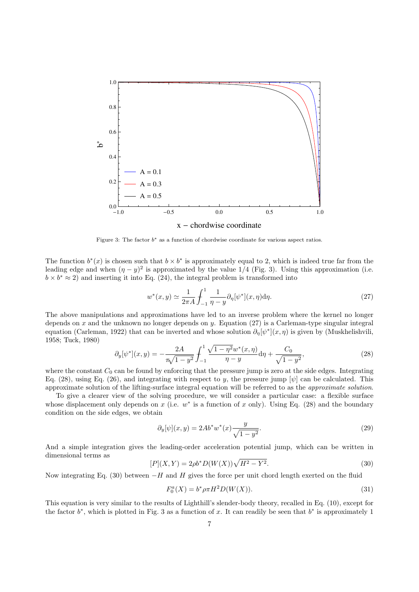

Figure 3: The factor  $b^*$  as a function of chordwise coordinate for various aspect ratios.

The function  $b^*(x)$  is chosen such that  $b \times b^*$  is approximately equal to 2, which is indeed true far from the leading edge and when  $(\eta - y)^2$  is approximated by the value 1/4 (Fig. 3). Using this approximation (i.e.  $b \times b^* \approx 2$ ) and inserting it into Eq. (24), the integral problem is transformed into

$$
w^*(x,y) \simeq \frac{1}{2\pi A} \int_{-1}^1 \frac{1}{\eta - y} \partial_\eta[\psi^*](x,\eta) d\eta.
$$
 (27)

The above manipulations and approximations have led to an inverse problem where the kernel no longer depends on x and the unknown no longer depends on y. Equation  $(27)$  is a Carleman-type singular integral equation (Carleman, 1922) that can be inverted and whose solution  $\partial_{\eta}[\psi^*](x,\eta)$  is given by (Muskhelishvili, 1958; Tuck, 1980)

$$
\partial_y[\psi^*](x,y) = -\frac{2A}{\pi\sqrt{1-y^2}} \int_{-1}^1 \frac{\sqrt{1-\eta^2}w^*(x,\eta)}{\eta-y} d\eta + \frac{C_0}{\sqrt{1-y^2}},\tag{28}
$$

where the constant  $C_0$  can be found by enforcing that the pressure jump is zero at the side edges. Integrating Eq. (28), using Eq. (26), and integrating with respect to y, the pressure jump  $[\psi]$  can be calculated. This approximate solution of the lifting-surface integral equation will be referred to as the approximate solution.

To give a clearer view of the solving procedure, we will consider a particular case: a flexible surface whose displacement only depends on  $x$  (i.e.  $w^*$  is a function of  $x$  only). Using Eq. (28) and the boundary condition on the side edges, we obtain

$$
\partial_y[\psi](x, y) = 2Ab^* w^*(x) \frac{y}{\sqrt{1 - y^2}}.
$$
\n(29)

And a simple integration gives the leading-order acceleration potential jump, which can be written in dimensional terms as

$$
[P](X,Y) = 2\rho b^* D(W(X)) \sqrt{H^2 - Y^2}.
$$
\n(30)

Now integrating Eq. (30) between  $-H$  and H gives the force per unit chord length exerted on the fluid

$$
F_0^a(X) = b^* \rho \pi H^2 D(W(X)).
$$
\n(31)

This equation is very similar to the results of Lighthill's slender-body theory, recalled in Eq. (10), except for the factor  $b^*$ , which is plotted in Fig. 3 as a function of x. It can readily be seen that  $b^*$  is approximately 1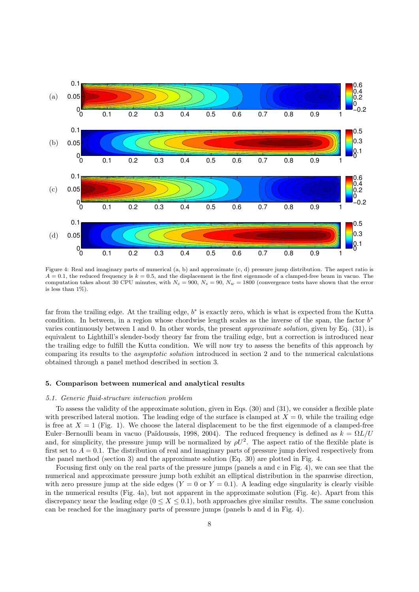

Figure 4: Real and imaginary parts of numerical (a, b) and approximate (c, d) pressure jump distribution. The aspect ratio is  $A = 0.1$ , the reduced frequency is  $k = 0.5$ , and the displacement is the first eigenmode of a clamped-free beam in vacuo. The computation takes about 30 CPU minutes, with  $N_c = 900$ ,  $N_s = 90$ ,  $N_w = 1800$  (convergence tests have shown that the error is less than  $1\%$ ).

far from the trailing edge. At the trailing edge,  $b^*$  is exactly zero, which is what is expected from the Kutta condition. In between, in a region whose chordwise length scales as the inverse of the span, the factor  $b^*$ varies continuously between 1 and 0. In other words, the present approximate solution, given by Eq. (31), is equivalent to Lighthill's slender-body theory far from the trailing edge, but a correction is introduced near the trailing edge to fulfill the Kutta condition. We will now try to assess the benefits of this approach by comparing its results to the asymptotic solution introduced in section 2 and to the numerical calculations obtained through a panel method described in section 3.

## 5. Comparison between numerical and analytical results

#### 5.1. Generic fluid-structure interaction problem

To assess the validity of the approximate solution, given in Eqs. (30) and (31), we consider a flexible plate with prescribed lateral motion. The leading edge of the surface is clamped at  $X = 0$ , while the trailing edge is free at  $X = 1$  (Fig. 1). We choose the lateral displacement to be the first eigenmode of a clamped-free Euler–Bernoulli beam in vacuo (Païdoussis, 1998, 2004). The reduced frequency is defined as  $k = \Omega L/U$ and, for simplicity, the pressure jump will be normalized by  $\rho U^2$ . The aspect ratio of the flexible plate is first set to  $A = 0.1$ . The distribution of real and imaginary parts of pressure jump derived respectively from the panel method (section 3) and the approximate solution (Eq. 30) are plotted in Fig. 4.

Focusing first only on the real parts of the pressure jumps (panels a and c in Fig. 4), we can see that the numerical and approximate pressure jump both exhibit an elliptical distribution in the spanwise direction, with zero pressure jump at the side edges  $(Y = 0 \text{ or } Y = 0.1)$ . A leading edge singularity is clearly visible in the numerical results (Fig. 4a), but not apparent in the approximate solution (Fig. 4c). Apart from this discrepancy near the leading edge ( $0 \le X \le 0.1$ ), both approaches give similar results. The same conclusion can be reached for the imaginary parts of pressure jumps (panels b and d in Fig. 4).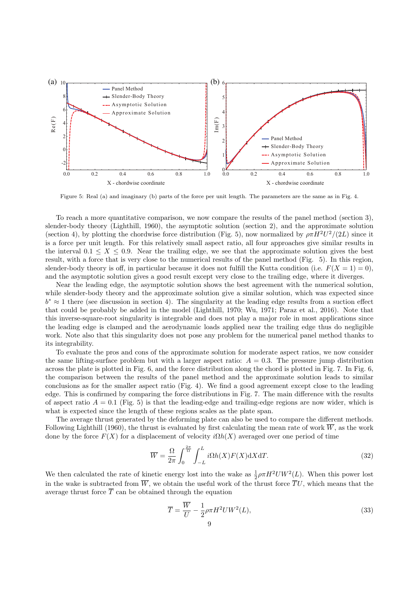

Figure 5: Real (a) and imaginary (b) parts of the force per unit length. The parameters are the same as in Fig. 4.

To reach a more quantitative comparison, we now compare the results of the panel method (section 3), slender-body theory (Lighthill, 1960), the asymptotic solution (section 2), and the approximate solution (section 4), by plotting the chordwise force distribution (Fig. 5), now normalized by  $\rho \pi H^2 U^2/(2L)$  since it is a force per unit length. For this relatively small aspect ratio, all four approaches give similar results in the interval  $0.1 \leq X \leq 0.9$ . Near the trailing edge, we see that the approximate solution gives the best result, with a force that is very close to the numerical results of the panel method (Fig. 5). In this region, slender-body theory is off, in particular because it does not fulfill the Kutta condition (i.e.  $F(X = 1) = 0$ ). and the asymptotic solution gives a good result except very close to the trailing edge, where it diverges.

Near the leading edge, the asymptotic solution shows the best agreement with the numerical solution, while slender-body theory and the approximate solution give a similar solution, which was expected since  $b^* \approx 1$  there (see discussion in section 4). The singularity at the leading edge results from a suction effect that could be probably be added in the model (Lighthill, 1970; Wu, 1971; Paraz et al., 2016). Note that this inverse-square-root singularity is integrable and does not play a major role in most applications since the leading edge is clamped and the aerodynamic loads applied near the trailing edge thus do negligible work. Note also that this singularity does not pose any problem for the numerical panel method thanks to its integrability.

To evaluate the pros and cons of the approximate solution for moderate aspect ratios, we now consider the same lifting-surface problem but with a larger aspect ratio:  $A = 0.3$ . The pressure jump distribution across the plate is plotted in Fig. 6, and the force distribution along the chord is plotted in Fig. 7. In Fig. 6, the comparison between the results of the panel method and the approximate solution leads to similar conclusions as for the smaller aspect ratio (Fig. 4). We find a good agreement except close to the leading edge. This is confirmed by comparing the force distributions in Fig. 7. The main difference with the results of aspect ratio  $A = 0.1$  (Fig. 5) is that the leading-edge and trailing-edge regions are now wider, which is what is expected since the length of these regions scales as the plate span.

The average thrust generated by the deforming plate can also be used to compare the different methods. Following Lighthill (1960), the thrust is evaluated by first calculating the mean rate of work  $\overline{W}$ , as the work done by the force  $F(X)$  for a displacement of velocity  $i\Omega h(X)$  averaged over one period of time

$$
\overline{W} = \frac{\Omega}{2\pi} \int_0^{\frac{2\pi}{\Omega}} \int_{-L}^{L} i\Omega h(X) F(X) dX dT.
$$
\n(32)

We then calculated the rate of kinetic energy lost into the wake as  $\frac{1}{2}\rho\pi H^2 U W^2(L)$ . When this power lost in the wake is subtracted from  $\overline{W}$ , we obtain the useful work of the thrust force  $\overline{T}U$ , which means that the average thrust force  $\overline{T}$  can be obtained through the equation

$$
\overline{T} = \frac{\overline{W}}{U} - \frac{1}{2} \rho \pi H^2 U W^2(L),\tag{33}
$$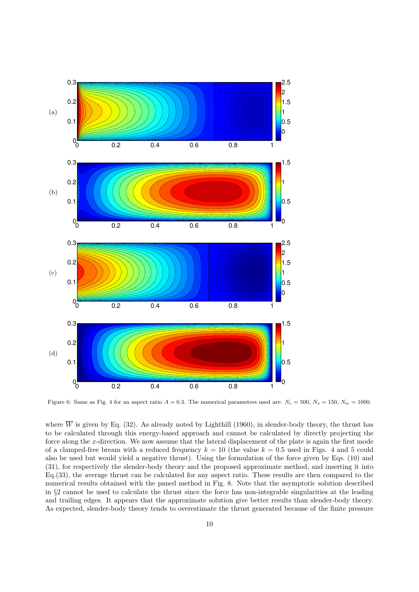

Figure 6: Same as Fig. 4 for an aspect ratio  $A = 0.3$ . The numerical parameters used are:  $N_c = 500$ ,  $N_s = 150$ ,  $N_w = 1000$ .

where  $\overline{W}$  is given by Eq. (32). As already noted by Lighthill (1960), in slender-body theory, the thrust has to be calculated through this energy-based approach and cannot be calculated by directly projecting the force along the x-direction. We now assume that the lateral displacement of the plate is again the first mode of a clamped-free bream with a reduced frequency  $k = 10$  (the value  $k = 0.5$  used in Figs. 4 and 5 could also be used but would yield a negative thrust). Using the formulation of the force given by Eqs. (10) and (31), for respectively the slender-body theory and the proposed approximate method, and inserting it into Eq.(33), the average thrust can be calculated for any aspect ratio. These results are then compared to the numerical results obtained with the paned method in Fig. 8. Note that the asymptotic solution described in §2 cannot be used to calculate the thrust since the force has non-integrable singularities at the leading and trailing edges. It appears that the approximate solution give better results than slender-body theory. As expected, slender-body theory tends to overestimate the thrust generated because of the finite pressure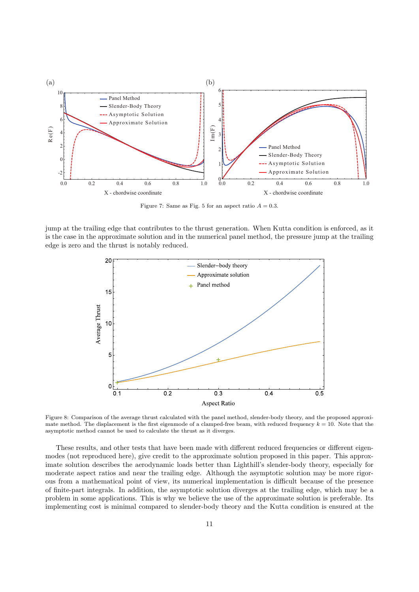

Figure 7: Same as Fig. 5 for an aspect ratio  $A = 0.3$ .

jump at the trailing edge that contributes to the thrust generation. When Kutta condition is enforced, as it is the case in the approximate solution and in the numerical panel method, the pressure jump at the trailing edge is zero and the thrust is notably reduced.



Figure 8: Comparison of the average thrust calculated with the panel method, slender-body theory, and the proposed approximate method. The displacement is the first eigenmode of a clamped-free beam, with reduced frequency  $k = 10$ . Note that the asymptotic method cannot be used to calculate the thrust as it diverges.

These results, and other tests that have been made with different reduced frequencies or different eigenmodes (not reproduced here), give credit to the approximate solution proposed in this paper. This approximate solution describes the aerodynamic loads better than Lighthill's slender-body theory, especially for moderate aspect ratios and near the trailing edge. Although the asymptotic solution may be more rigorous from a mathematical point of view, its numerical implementation is difficult because of the presence of finite-part integrals. In addition, the asymptotic solution diverges at the trailing edge, which may be a problem in some applications. This is why we believe the use of the approximate solution is preferable. Its implementing cost is minimal compared to slender-body theory and the Kutta condition is ensured at the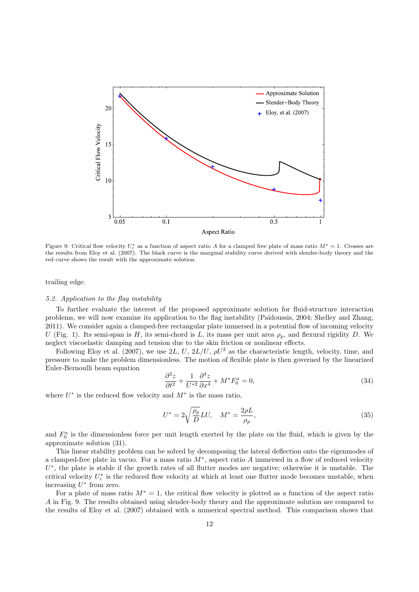

Figure 9: Critical flow velocity  $U_c^*$  as a function of aspect ratio A for a clamped free plate of mass ratio  $M^* = 1$ . Crosses are the results from Eloy et al. (2007). The black curve is the marginal stability curve derived with slender-body theory and the red curve shows the result with the approximate solution.

trailing edge.

#### 5.2. Application to the flag instability

To further evaluate the interest of the proposed approximate solution for fluid-structure interaction problems, we will now examine its application to the flag instability (Pa¨ıdoussis, 2004; Shelley and Zhang, 2011). We consider again a clamped-free rectangular plate immersed in a potential flow of incoming velocity U (Fig. 1). Its semi-span is H, its semi-chord is L, its mass per unit area  $\rho_n$ , and flexural rigidity D. We neglect viscoelastic damping and tension due to the skin friction or nonlinear effects.

Following Eloy et al. (2007), we use 2L, U,  $2L/U$ ,  $\rho U^2$  as the characteristic length, velocity, time, and pressure to make the problem dimensionless. The motion of flexible plate is then governed by the linearized Euler-Bernoulli beam equation

$$
\frac{\partial^2 z}{\partial t^2} + \frac{1}{U^{*2}} \frac{\partial^4 z}{\partial x^4} + M^* F_0^a = 0,
$$
\n(34)

where  $U^*$  is the reduced flow velocity and  $M^*$  is the mass ratio,

$$
U^* = 2\sqrt{\frac{\rho_p}{D}}LU, \quad M^* = \frac{2\rho L}{\rho_p},\tag{35}
$$

and  $F_0^a$  is the dimensionless force per unit length exerted by the plate on the fluid, which is given by the approximate solution (31).

This linear stability problem can be solved by decomposing the lateral deflection onto the eigenmodes of a clamped-free plate in vacuo. For a mass ratio  $M^*$ , aspect ratio A immersed in a flow of reduced velocity U ∗ , the plate is stable if the growth rates of all flutter modes are negative; otherwise it is unstable. The critical velocity  $U_c^*$  is the reduced flow velocity at which at least one flutter mode becomes unstable, when increasing  $U^*$  from zero.

For a plate of mass ratio  $M^* = 1$ , the critical flow velocity is plotted as a function of the aspect ratio A in Fig. 9. The results obtained using slender-body theory and the approximate solution are compared to the results of Eloy et al. (2007) obtained with a numerical spectral method. This comparison shows that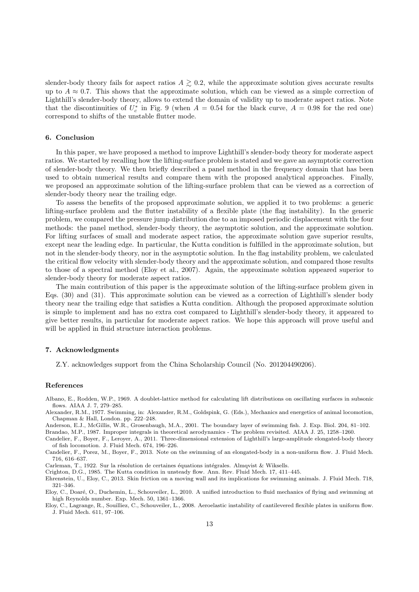slender-body theory fails for aspect ratios  $A \gtrsim 0.2$ , while the approximate solution gives accurate results up to  $A \approx 0.7$ . This shows that the approximate solution, which can be viewed as a simple correction of Lighthill's slender-body theory, allows to extend the domain of validity up to moderate aspect ratios. Note that the discontinuities of  $U_c^*$  in Fig. 9 (when  $A = 0.54$  for the black curve,  $A = 0.98$  for the red one) correspond to shifts of the unstable flutter mode.

## 6. Conclusion

In this paper, we have proposed a method to improve Lighthill's slender-body theory for moderate aspect ratios. We started by recalling how the lifting-surface problem is stated and we gave an asymptotic correction of slender-body theory. We then briefly described a panel method in the frequency domain that has been used to obtain numerical results and compare them with the proposed analytical approaches. Finally, we proposed an approximate solution of the lifting-surface problem that can be viewed as a correction of slender-body theory near the trailing edge.

To assess the benefits of the proposed approximate solution, we applied it to two problems: a generic lifting-surface problem and the flutter instability of a flexible plate (the flag instability). In the generic problem, we compared the pressure jump distribution due to an imposed periodic displacement with the four methods: the panel method, slender-body theory, the asymptotic solution, and the approximate solution. For lifting surfaces of small and moderate aspect ratios, the approximate solution gave superior results, except near the leading edge. In particular, the Kutta condition is fulfilled in the approximate solution, but not in the slender-body theory, nor in the asymptotic solution. In the flag instability problem, we calculated the critical flow velocity with slender-body theory and the approximate solution, and compared those results to those of a spectral method (Eloy et al., 2007). Again, the approximate solution appeared superior to slender-body theory for moderate aspect ratios.

The main contribution of this paper is the approximate solution of the lifting-surface problem given in Eqs. (30) and (31). This approximate solution can be viewed as a correction of Lighthill's slender body theory near the trailing edge that satisfies a Kutta condition. Although the proposed approximate solution is simple to implement and has no extra cost compared to Lighthill's slender-body theory, it appeared to give better results, in particular for moderate aspect ratios. We hope this approach will prove useful and will be applied in fluid structure interaction problems.

### 7. Acknowledgments

Z.Y. acknowledges support from the China Scholarship Council (No. 201204490206).

#### References

Albano, E., Rodden, W.P., 1969. A doublet-lattice method for calculating lift distributions on oscillating surfaces in subsonic flows. AIAA J. 7, 279–285.

Alexander, R.M., 1977. Swimming, in: Alexander, R.M., Goldspink, G. (Eds.), Mechanics and energetics of animal locomotion, Chapman & Hall, London. pp. 222–248.

Anderson, E.J., McGillis, W.R., Grosenbaugh, M.A., 2001. The boundary layer of swimming fish. J. Exp. Biol. 204, 81–102.

Brandao, M.P., 1987. Improper integrals in theoretical aerodynamics - The problem revisited. AIAA J. 25, 1258–1260.

Candelier, F., Boyer, F., Leroyer, A., 2011. Three-dimensional extension of Lighthill's large-amplitude elongated-body theory of fish locomotion. J. Fluid Mech. 674, 196–226.

Candelier, F., Porez, M., Boyer, F., 2013. Note on the swimming of an elongated-body in a non-uniform flow. J. Fluid Mech. 716, 616–637.

Carleman, T., 1922. Sur la résolution de certaines équations intégrales. Almqvist & Wiksells.

Crighton, D.G., 1985. The Kutta condition in unsteady flow. Ann. Rev. Fluid Mech. 17, 411–445.

- Ehrenstein, U., Eloy, C., 2013. Skin friction on a moving wall and its implications for swimming animals. J. Fluid Mech. 718, 321–346.
- Eloy, C., Doaré, O., Duchemin, L., Schouveiler, L., 2010. A unified introduction to fluid mechanics of flying and swimming at high Reynolds number. Exp. Mech. 50, 1361–1366.

Eloy, C., Lagrange, R., Souilliez, C., Schouveiler, L., 2008. Aeroelastic instability of cantilevered flexible plates in uniform flow. J. Fluid Mech. 611, 97–106.